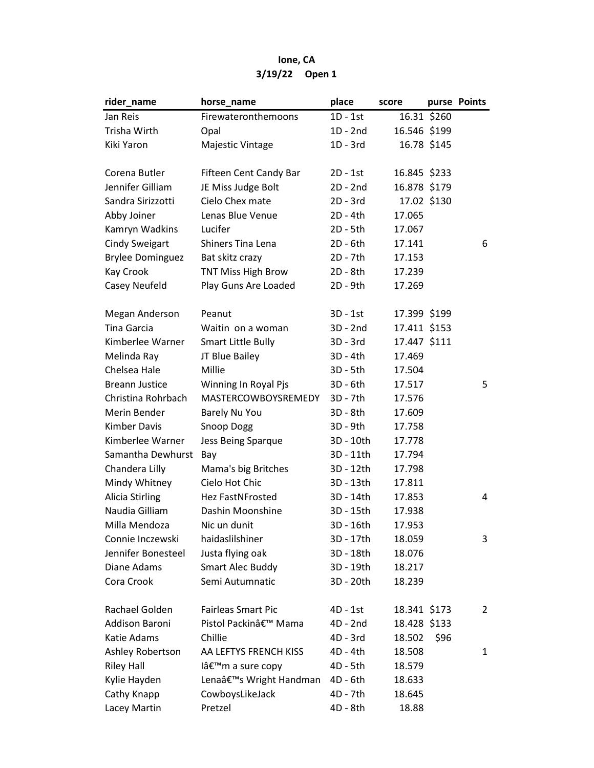## Ione, CA 3/19/22 Open 1

| 16.31 \$260<br>Firewateronthemoons<br>Jan Reis<br>$1D - 1st$<br>Trisha Wirth<br>$1D - 2nd$<br>16.546 \$199<br>Opal<br>Kiki Yaron<br>1D - 3rd<br>16.78 \$145<br>Majestic Vintage<br>Corena Butler<br>16.845 \$233<br>Fifteen Cent Candy Bar<br>2D - 1st<br>Jennifer Gilliam<br>JE Miss Judge Bolt<br>$2D - 2nd$<br>16.878 \$179<br>Sandra Sirizzotti<br>Cielo Chex mate<br>17.02 \$130<br>$2D - 3rd$<br>Lenas Blue Venue<br>Abby Joiner<br>2D - 4th<br>17.065<br>Kamryn Wadkins<br>Lucifer<br>2D - 5th<br>17.067<br><b>Cindy Sweigart</b><br><b>Shiners Tina Lena</b><br>2D - 6th<br>17.141<br>6<br><b>Brylee Dominguez</b><br>Bat skitz crazy<br>2D - 7th<br>17.153<br>TNT Miss High Brow<br>Kay Crook<br>2D - 8th<br>17.239<br>Casey Neufeld<br>Play Guns Are Loaded<br>2D - 9th<br>17.269<br>17.399 \$199<br>Megan Anderson<br>Peanut<br>3D - 1st<br>Tina Garcia<br>17.411 \$153<br>Waitin on a woman<br>$3D - 2nd$<br>Kimberlee Warner<br><b>Smart Little Bully</b><br>3D - 3rd<br>17.447 \$111<br>Melinda Ray<br>JT Blue Bailey<br>3D - 4th<br>17.469<br>Chelsea Hale<br>Millie<br>3D - 5th<br>17.504<br>5<br><b>Breann Justice</b><br>Winning In Royal Pjs<br>3D - 6th<br>17.517<br>Christina Rohrbach<br>MASTERCOWBOYSREMEDY<br>3D - 7th<br>17.576<br>Merin Bender<br>3D - 8th<br>17.609<br>Barely Nu You<br><b>Kimber Davis</b><br><b>Snoop Dogg</b><br>3D - 9th<br>17.758<br>Kimberlee Warner<br>3D - 10th<br>Jess Being Sparque<br>17.778<br>Samantha Dewhurst<br>3D - 11th<br>17.794<br>Bay<br>Chandera Lilly<br>Mama's big Britches<br>3D - 12th<br>17.798<br>Cielo Hot Chic<br>Mindy Whitney<br>3D - 13th<br>17.811<br><b>Alicia Stirling</b><br>Hez FastNFrosted<br>3D - 14th<br>17.853<br>4<br>Naudia Gilliam<br>Dashin Moonshine<br>3D - 15th<br>17.938<br>Milla Mendoza<br>Nic un dunit<br>3D - 16th<br>17.953<br>haidaslilshiner<br>Connie Inczewski<br>3D - 17th<br>18.059<br>3<br>Jennifer Bonesteel<br>Justa flying oak<br>3D - 18th<br>18.076<br><b>Smart Alec Buddy</b><br>Diane Adams<br>3D - 19th<br>18.217<br>Cora Crook<br>Semi Autumnatic<br>3D - 20th<br>18.239 | rider_name | horse_name | place | score | purse Points |
|---------------------------------------------------------------------------------------------------------------------------------------------------------------------------------------------------------------------------------------------------------------------------------------------------------------------------------------------------------------------------------------------------------------------------------------------------------------------------------------------------------------------------------------------------------------------------------------------------------------------------------------------------------------------------------------------------------------------------------------------------------------------------------------------------------------------------------------------------------------------------------------------------------------------------------------------------------------------------------------------------------------------------------------------------------------------------------------------------------------------------------------------------------------------------------------------------------------------------------------------------------------------------------------------------------------------------------------------------------------------------------------------------------------------------------------------------------------------------------------------------------------------------------------------------------------------------------------------------------------------------------------------------------------------------------------------------------------------------------------------------------------------------------------------------------------------------------------------------------------------------------------------------------------------------------------------------------------------------------------------------------------------------------------------------------------------------------------------|------------|------------|-------|-------|--------------|
|                                                                                                                                                                                                                                                                                                                                                                                                                                                                                                                                                                                                                                                                                                                                                                                                                                                                                                                                                                                                                                                                                                                                                                                                                                                                                                                                                                                                                                                                                                                                                                                                                                                                                                                                                                                                                                                                                                                                                                                                                                                                                             |            |            |       |       |              |
|                                                                                                                                                                                                                                                                                                                                                                                                                                                                                                                                                                                                                                                                                                                                                                                                                                                                                                                                                                                                                                                                                                                                                                                                                                                                                                                                                                                                                                                                                                                                                                                                                                                                                                                                                                                                                                                                                                                                                                                                                                                                                             |            |            |       |       |              |
|                                                                                                                                                                                                                                                                                                                                                                                                                                                                                                                                                                                                                                                                                                                                                                                                                                                                                                                                                                                                                                                                                                                                                                                                                                                                                                                                                                                                                                                                                                                                                                                                                                                                                                                                                                                                                                                                                                                                                                                                                                                                                             |            |            |       |       |              |
|                                                                                                                                                                                                                                                                                                                                                                                                                                                                                                                                                                                                                                                                                                                                                                                                                                                                                                                                                                                                                                                                                                                                                                                                                                                                                                                                                                                                                                                                                                                                                                                                                                                                                                                                                                                                                                                                                                                                                                                                                                                                                             |            |            |       |       |              |
|                                                                                                                                                                                                                                                                                                                                                                                                                                                                                                                                                                                                                                                                                                                                                                                                                                                                                                                                                                                                                                                                                                                                                                                                                                                                                                                                                                                                                                                                                                                                                                                                                                                                                                                                                                                                                                                                                                                                                                                                                                                                                             |            |            |       |       |              |
|                                                                                                                                                                                                                                                                                                                                                                                                                                                                                                                                                                                                                                                                                                                                                                                                                                                                                                                                                                                                                                                                                                                                                                                                                                                                                                                                                                                                                                                                                                                                                                                                                                                                                                                                                                                                                                                                                                                                                                                                                                                                                             |            |            |       |       |              |
|                                                                                                                                                                                                                                                                                                                                                                                                                                                                                                                                                                                                                                                                                                                                                                                                                                                                                                                                                                                                                                                                                                                                                                                                                                                                                                                                                                                                                                                                                                                                                                                                                                                                                                                                                                                                                                                                                                                                                                                                                                                                                             |            |            |       |       |              |
|                                                                                                                                                                                                                                                                                                                                                                                                                                                                                                                                                                                                                                                                                                                                                                                                                                                                                                                                                                                                                                                                                                                                                                                                                                                                                                                                                                                                                                                                                                                                                                                                                                                                                                                                                                                                                                                                                                                                                                                                                                                                                             |            |            |       |       |              |
|                                                                                                                                                                                                                                                                                                                                                                                                                                                                                                                                                                                                                                                                                                                                                                                                                                                                                                                                                                                                                                                                                                                                                                                                                                                                                                                                                                                                                                                                                                                                                                                                                                                                                                                                                                                                                                                                                                                                                                                                                                                                                             |            |            |       |       |              |
|                                                                                                                                                                                                                                                                                                                                                                                                                                                                                                                                                                                                                                                                                                                                                                                                                                                                                                                                                                                                                                                                                                                                                                                                                                                                                                                                                                                                                                                                                                                                                                                                                                                                                                                                                                                                                                                                                                                                                                                                                                                                                             |            |            |       |       |              |
|                                                                                                                                                                                                                                                                                                                                                                                                                                                                                                                                                                                                                                                                                                                                                                                                                                                                                                                                                                                                                                                                                                                                                                                                                                                                                                                                                                                                                                                                                                                                                                                                                                                                                                                                                                                                                                                                                                                                                                                                                                                                                             |            |            |       |       |              |
|                                                                                                                                                                                                                                                                                                                                                                                                                                                                                                                                                                                                                                                                                                                                                                                                                                                                                                                                                                                                                                                                                                                                                                                                                                                                                                                                                                                                                                                                                                                                                                                                                                                                                                                                                                                                                                                                                                                                                                                                                                                                                             |            |            |       |       |              |
|                                                                                                                                                                                                                                                                                                                                                                                                                                                                                                                                                                                                                                                                                                                                                                                                                                                                                                                                                                                                                                                                                                                                                                                                                                                                                                                                                                                                                                                                                                                                                                                                                                                                                                                                                                                                                                                                                                                                                                                                                                                                                             |            |            |       |       |              |
|                                                                                                                                                                                                                                                                                                                                                                                                                                                                                                                                                                                                                                                                                                                                                                                                                                                                                                                                                                                                                                                                                                                                                                                                                                                                                                                                                                                                                                                                                                                                                                                                                                                                                                                                                                                                                                                                                                                                                                                                                                                                                             |            |            |       |       |              |
|                                                                                                                                                                                                                                                                                                                                                                                                                                                                                                                                                                                                                                                                                                                                                                                                                                                                                                                                                                                                                                                                                                                                                                                                                                                                                                                                                                                                                                                                                                                                                                                                                                                                                                                                                                                                                                                                                                                                                                                                                                                                                             |            |            |       |       |              |
|                                                                                                                                                                                                                                                                                                                                                                                                                                                                                                                                                                                                                                                                                                                                                                                                                                                                                                                                                                                                                                                                                                                                                                                                                                                                                                                                                                                                                                                                                                                                                                                                                                                                                                                                                                                                                                                                                                                                                                                                                                                                                             |            |            |       |       |              |
|                                                                                                                                                                                                                                                                                                                                                                                                                                                                                                                                                                                                                                                                                                                                                                                                                                                                                                                                                                                                                                                                                                                                                                                                                                                                                                                                                                                                                                                                                                                                                                                                                                                                                                                                                                                                                                                                                                                                                                                                                                                                                             |            |            |       |       |              |
|                                                                                                                                                                                                                                                                                                                                                                                                                                                                                                                                                                                                                                                                                                                                                                                                                                                                                                                                                                                                                                                                                                                                                                                                                                                                                                                                                                                                                                                                                                                                                                                                                                                                                                                                                                                                                                                                                                                                                                                                                                                                                             |            |            |       |       |              |
|                                                                                                                                                                                                                                                                                                                                                                                                                                                                                                                                                                                                                                                                                                                                                                                                                                                                                                                                                                                                                                                                                                                                                                                                                                                                                                                                                                                                                                                                                                                                                                                                                                                                                                                                                                                                                                                                                                                                                                                                                                                                                             |            |            |       |       |              |
|                                                                                                                                                                                                                                                                                                                                                                                                                                                                                                                                                                                                                                                                                                                                                                                                                                                                                                                                                                                                                                                                                                                                                                                                                                                                                                                                                                                                                                                                                                                                                                                                                                                                                                                                                                                                                                                                                                                                                                                                                                                                                             |            |            |       |       |              |
|                                                                                                                                                                                                                                                                                                                                                                                                                                                                                                                                                                                                                                                                                                                                                                                                                                                                                                                                                                                                                                                                                                                                                                                                                                                                                                                                                                                                                                                                                                                                                                                                                                                                                                                                                                                                                                                                                                                                                                                                                                                                                             |            |            |       |       |              |
|                                                                                                                                                                                                                                                                                                                                                                                                                                                                                                                                                                                                                                                                                                                                                                                                                                                                                                                                                                                                                                                                                                                                                                                                                                                                                                                                                                                                                                                                                                                                                                                                                                                                                                                                                                                                                                                                                                                                                                                                                                                                                             |            |            |       |       |              |
|                                                                                                                                                                                                                                                                                                                                                                                                                                                                                                                                                                                                                                                                                                                                                                                                                                                                                                                                                                                                                                                                                                                                                                                                                                                                                                                                                                                                                                                                                                                                                                                                                                                                                                                                                                                                                                                                                                                                                                                                                                                                                             |            |            |       |       |              |
|                                                                                                                                                                                                                                                                                                                                                                                                                                                                                                                                                                                                                                                                                                                                                                                                                                                                                                                                                                                                                                                                                                                                                                                                                                                                                                                                                                                                                                                                                                                                                                                                                                                                                                                                                                                                                                                                                                                                                                                                                                                                                             |            |            |       |       |              |
|                                                                                                                                                                                                                                                                                                                                                                                                                                                                                                                                                                                                                                                                                                                                                                                                                                                                                                                                                                                                                                                                                                                                                                                                                                                                                                                                                                                                                                                                                                                                                                                                                                                                                                                                                                                                                                                                                                                                                                                                                                                                                             |            |            |       |       |              |
|                                                                                                                                                                                                                                                                                                                                                                                                                                                                                                                                                                                                                                                                                                                                                                                                                                                                                                                                                                                                                                                                                                                                                                                                                                                                                                                                                                                                                                                                                                                                                                                                                                                                                                                                                                                                                                                                                                                                                                                                                                                                                             |            |            |       |       |              |
|                                                                                                                                                                                                                                                                                                                                                                                                                                                                                                                                                                                                                                                                                                                                                                                                                                                                                                                                                                                                                                                                                                                                                                                                                                                                                                                                                                                                                                                                                                                                                                                                                                                                                                                                                                                                                                                                                                                                                                                                                                                                                             |            |            |       |       |              |
|                                                                                                                                                                                                                                                                                                                                                                                                                                                                                                                                                                                                                                                                                                                                                                                                                                                                                                                                                                                                                                                                                                                                                                                                                                                                                                                                                                                                                                                                                                                                                                                                                                                                                                                                                                                                                                                                                                                                                                                                                                                                                             |            |            |       |       |              |
|                                                                                                                                                                                                                                                                                                                                                                                                                                                                                                                                                                                                                                                                                                                                                                                                                                                                                                                                                                                                                                                                                                                                                                                                                                                                                                                                                                                                                                                                                                                                                                                                                                                                                                                                                                                                                                                                                                                                                                                                                                                                                             |            |            |       |       |              |
|                                                                                                                                                                                                                                                                                                                                                                                                                                                                                                                                                                                                                                                                                                                                                                                                                                                                                                                                                                                                                                                                                                                                                                                                                                                                                                                                                                                                                                                                                                                                                                                                                                                                                                                                                                                                                                                                                                                                                                                                                                                                                             |            |            |       |       |              |
|                                                                                                                                                                                                                                                                                                                                                                                                                                                                                                                                                                                                                                                                                                                                                                                                                                                                                                                                                                                                                                                                                                                                                                                                                                                                                                                                                                                                                                                                                                                                                                                                                                                                                                                                                                                                                                                                                                                                                                                                                                                                                             |            |            |       |       |              |
|                                                                                                                                                                                                                                                                                                                                                                                                                                                                                                                                                                                                                                                                                                                                                                                                                                                                                                                                                                                                                                                                                                                                                                                                                                                                                                                                                                                                                                                                                                                                                                                                                                                                                                                                                                                                                                                                                                                                                                                                                                                                                             |            |            |       |       |              |
|                                                                                                                                                                                                                                                                                                                                                                                                                                                                                                                                                                                                                                                                                                                                                                                                                                                                                                                                                                                                                                                                                                                                                                                                                                                                                                                                                                                                                                                                                                                                                                                                                                                                                                                                                                                                                                                                                                                                                                                                                                                                                             |            |            |       |       |              |
|                                                                                                                                                                                                                                                                                                                                                                                                                                                                                                                                                                                                                                                                                                                                                                                                                                                                                                                                                                                                                                                                                                                                                                                                                                                                                                                                                                                                                                                                                                                                                                                                                                                                                                                                                                                                                                                                                                                                                                                                                                                                                             |            |            |       |       |              |
| Rachael Golden<br><b>Fairleas Smart Pic</b><br>18.341 \$173<br>4D - 1st<br>2                                                                                                                                                                                                                                                                                                                                                                                                                                                                                                                                                                                                                                                                                                                                                                                                                                                                                                                                                                                                                                                                                                                                                                                                                                                                                                                                                                                                                                                                                                                                                                                                                                                                                                                                                                                                                                                                                                                                                                                                                |            |            |       |       |              |
| Addison Baroni<br>Pistol Packin' Mama<br>18.428 \$133<br>4D - 2nd                                                                                                                                                                                                                                                                                                                                                                                                                                                                                                                                                                                                                                                                                                                                                                                                                                                                                                                                                                                                                                                                                                                                                                                                                                                                                                                                                                                                                                                                                                                                                                                                                                                                                                                                                                                                                                                                                                                                                                                                                           |            |            |       |       |              |
| Katie Adams<br>Chillie<br>4D - 3rd<br>18.502<br>\$96                                                                                                                                                                                                                                                                                                                                                                                                                                                                                                                                                                                                                                                                                                                                                                                                                                                                                                                                                                                                                                                                                                                                                                                                                                                                                                                                                                                                                                                                                                                                                                                                                                                                                                                                                                                                                                                                                                                                                                                                                                        |            |            |       |       |              |
| Ashley Robertson<br>4D - 4th<br>18.508<br>AA LEFTYS FRENCH KISS<br>1                                                                                                                                                                                                                                                                                                                                                                                                                                                                                                                                                                                                                                                                                                                                                                                                                                                                                                                                                                                                                                                                                                                                                                                                                                                                                                                                                                                                                                                                                                                                                                                                                                                                                                                                                                                                                                                                                                                                                                                                                        |            |            |       |       |              |
| <b>Riley Hall</b><br>l'm a sure copy<br>4D - 5th<br>18.579                                                                                                                                                                                                                                                                                                                                                                                                                                                                                                                                                                                                                                                                                                                                                                                                                                                                                                                                                                                                                                                                                                                                                                                                                                                                                                                                                                                                                                                                                                                                                                                                                                                                                                                                                                                                                                                                                                                                                                                                                                  |            |            |       |       |              |
| Lenaâ€ <sup>™</sup> s Wright Handman<br>Kylie Hayden<br>4D - 6th<br>18.633                                                                                                                                                                                                                                                                                                                                                                                                                                                                                                                                                                                                                                                                                                                                                                                                                                                                                                                                                                                                                                                                                                                                                                                                                                                                                                                                                                                                                                                                                                                                                                                                                                                                                                                                                                                                                                                                                                                                                                                                                  |            |            |       |       |              |
| Cathy Knapp<br>CowboysLikeJack<br>4D - 7th<br>18.645                                                                                                                                                                                                                                                                                                                                                                                                                                                                                                                                                                                                                                                                                                                                                                                                                                                                                                                                                                                                                                                                                                                                                                                                                                                                                                                                                                                                                                                                                                                                                                                                                                                                                                                                                                                                                                                                                                                                                                                                                                        |            |            |       |       |              |
| Lacey Martin<br>Pretzel<br>4D - 8th<br>18.88                                                                                                                                                                                                                                                                                                                                                                                                                                                                                                                                                                                                                                                                                                                                                                                                                                                                                                                                                                                                                                                                                                                                                                                                                                                                                                                                                                                                                                                                                                                                                                                                                                                                                                                                                                                                                                                                                                                                                                                                                                                |            |            |       |       |              |